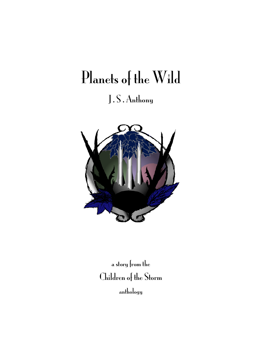# Planets of the Wild J . S . Anthony



a story from the Children of the Storm anthology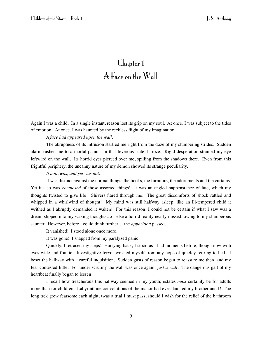## Chapter 1 A Face on the Wall

Again I was a child. In a single instant, reason lost its grip on my soul. At once, I was subject to the tides of emotion! At once, I was haunted by the reckless flight of my imagination.

#### *A face had appeared upon the wall.*

The abruptness of its intrusion startled me right from the doze of my slumbering strides. Sudden alarm rushed me to a mortal panic! In that feverous state, I froze. Rigid desperation strained my eye leftward on the wall. Its horrid eyes pierced over me, spilling from the shadows there. Even from this frightful periphery, the uncanny nature of my demon showed its strange peculiarity.

#### *It both was, and yet was not.*

It was distinct against the normal things: the books, the furniture, the adornments and the curtains. Yet it also was *composed* of those assorted things! It was an angled happenstance of fate, which my thoughts twisted to give life. Shivers flared through me. The great discomforts of shock rattled and whipped in a whirlwind of thought! My mind was still halfway asleep; like an ill-tempered child it writhed as I abruptly demanded it waken! For this reason, I could not be certain if what I saw was a dream slipped into my waking thoughts…or else a horrid reality nearly missed, owing to my slumberous saunter. However, before I could think further… the *apparition* passed.

It vanished! I stood alone once more.

It was gone! I snapped from my paralyzed panic.

Quickly, I retraced my steps! Hurrying back, I stood as I had moments before, though now with eyes wide and frantic. Investigative fervor wrested myself from any hope of quickly retiring to bed. I beset the hallway with a careful inquisition. Sudden gusts of reason began to reassure me then, and my fear contested little. For under scrutiny the wall was once again: *just a wall.* The dangerous gait of my heartbeat finally began to lessen.

I recall how treacherous this hallway seemed in my youth; estates *must* certainly be for adults more than for children. Labyrinthine convolutions of the manor had ever daunted my brother and I! The long trek grew fearsome each night; twas a trial I must pass, should I wish for the relief of the bathroom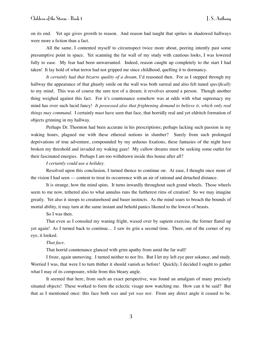on its end. Yet age gives growth to reason. And reason had taught that sprites in shadowed hallways were more a fiction than a fact.

All the same, I contented myself to circumspect twice more about, peering intently past some presumptive point in space. Yet scanning the far wall of my study with cautious looks, I was lowered fully to ease. My fear had been unwarranted. Indeed, reason caught up completely to the start I had taken! It lay hold of what terror had not gripped me since childhood, quelling it to dormancy.

It certainly had that bizarre quality of a dream, I'd reasoned then. For as I stepped through my hallway the appearance of that ghastly smile on the wall was both surreal and also felt tuned *specifically* to my mind. This was of course the sure test of a dream; it revolves around a person. Though another thing weighed against this fact. For it's countenance somehow was at odds with what supremacy my mind has over such lucid fancy! *It possessed also that frightening demand to believe it, which only real things may command.* I certainly *must* have seen that face, that horridly real and yet eldritch formation of objects grinning in my hallway.

Perhaps Dr. Thornton had been accurate in his prescriptions; perhaps lacking such passion in my waking hours, plagued me with these ethereal notions in slumber? Surely from such prolonged deprivations of true adventure, compounded by my arduous fixations, these fantasies of the night have broken my threshold and invaded my waking gaze! My callow dreams must be seeking some outlet for their fascinated energies. Perhaps I am too withdrawn inside this house after all?

#### *I certainly could use a holiday.*

Resolved upon this conclusion, I turned thence to continue on. At ease, I thought once more of the vision I had seen –– content to treat its occurrence with an air of rational and detached distance.

It is strange, how the mind spins. It turns inwardly throughout such grand wheels. Those wheels seem to me now, tethered also to what annulus runs the furtherest rims of creation! So we may imagine greatly. Yet also it stoops to creaturehood and baser instincts. As the mind soars to breach the bounds of mortal ability, it may turn at the same instant and behold panics likened to the lowest of beasts.

#### So I was then.

That even as I consoled my waning fright, waxed over by sapient exercise, the former flared up yet again! As I turned back to continue… I saw its grin a second time. There, out of the corner of my eye, it looked.

#### *That face.*

That horrid countenance glanced with grim apathy from amid the far wall!

I froze, again unmoving. I turned neither to nor fro. But I let my left eye peer askance, and study. Worried I was, that were I to turn thither it should vanish as before! Quickly, I decided I ought to gather what I may of its composure, while from this bleary angle.

It seemed that here, from such an exact perspective, was found an amalgam of many precisely situated objects! These worked to form the eclectic visage now watching me. How can it be said? But that as I mentioned once: this face both *was* and yet *was not*. From any direct angle it ceased to be.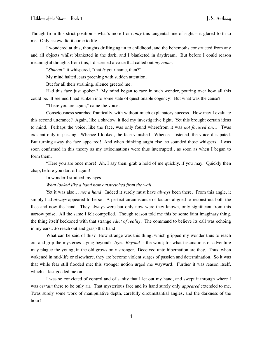Though from this strict position – what's more from *only* this tangental line of sight – it glared forth to me. Only askew did it come to life.

I wondered at this, thoughts drifting again to childhood, and the behemoths constructed from any and all objects whilst blanketed in the dark, and I blanketed in daydream. But before I could reason meaningful thoughts from this, I discerned a voice that called out *my name.*

"*Simeon*," it whispered, "that *is* your name, then?"

My mind halted, ears preening with sudden attention.

But for all their straining, silence greeted me.

Had this face just spoken? My mind began to race in such wonder, pouring over how all this could be. It seemed I had sunken into some state of questionable cogency! But what was the cause?

"There you are again," came the voice.

Consciousness searched frantically, with without much explanatory success. How may I evaluate this second utterance? Again, like a shadow, it fled my investigative light. Yet this brought certain ideas to mind. Perhaps the voice, like the face, was only found wherefrom it was *not focused on*… Twas existent only in passing. Whence I looked, the face vanished. Whence I listened, the voice dissipated. But turning away the face appeared! And when thinking aught else, so sounded those whispers. I was soon confirmed in this theory as my ratiocinations were thus interrupted…as soon as when I began to form them.

"Here you are once more! Ah, I say then: grab a hold of me quickly, if you may. Quickly then chap, before you dart off again!"

In wonder I strained my eyes.

*What looked like a hand now outstretched from the wall.* 

Yet it was also… *not a hand*. Indeed it surely must have *always* been there. From this angle, it simply had *always* appeared to be so. A perfect circumstance of factors aligned to reconstruct both the face and now the hand. They always were but only now were they known, only significant from this narrow poise. All the same I felt compelled. Though reason told me this be some faint imaginary thing, the thing itself beckoned with that strange *edict of reality*. The command to believe its call was echoing in my ears…to reach out and grasp that hand.

What can be said of this? How strange was this thing, which gripped my wonder thus to reach out and grip the mysteries laying beyond? Aye. *Beyond* is the word; for what fascinations of adventure may plague the young, in the old grows only stronger. Deceived unto hibernation are they. Thus, when wakened in mid-life or elsewhere, they are become violent surges of passion and determination. So it was that while fear still flooded me: this stronger notion urged me wayward. Further it was reason itself, which at last goaded me on!

I was so convicted of control and of sanity that I let out my hand, and swept it through where I was *certain* there to be only air. That mysterious face and its hand surely only *appeared* extended to me. Twas surely some work of manipulative depth, carefully circumstantial angles, and the darkness of the hour!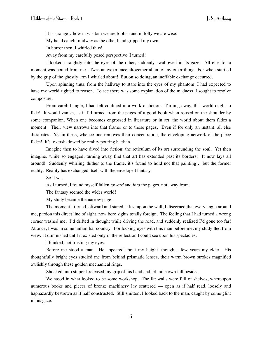It is strange…how in wisdom we are foolish and in folly we are wise.

My hand caught midway as the other hand gripped my own.

In horror then, I whirled thus!

Away from my carefully posed perspective, I turned!

I looked straightly into the eyes of the other, suddenly swallowed in its gaze. All else for a moment was bound from me. Twas an experience altogether alien to any other thing. For when startled by the grip of the ghostly arm I whirled about! But on so doing, an ineffable exchange occurred.

Upon spinning thus, from the hallway to stare into the eyes of my phantom, I had expected to have my world righted to reason. To see there was some explanation of the madness, I sought to resolve composure.

From careful angle, I had felt confined in a work of fiction. Turning away, that world ought to fade! It would vanish, as if I'd turned from the pages of a good book when roused on the shoulder by some companion. When one becomes engrossed in literature or in art, the world about them fades a moment. Their view narrows into that frame, or to those pages. Even if for only an instant, all else dissipates. Yet in these, whence one removes their concentration, the enveloping network of the piece fades! It's overshadowed by reality pouring back in.

Imagine then to have dived into fiction: the reticulum of its art surrounding the soul. Yet then imagine, while so engaged, turning away find that art has extended past its borders! It now lays all around! Suddenly whirling thither to the frame, it's found to hold not that painting… but the former reality. Reality has exchanged itself with the enveloped fantasy.

So it was.

As I turned, I found myself fallen *toward* and *into* the pages, not away from.

The fantasy seemed the wider world!

My study became the narrow page.

The moment I turned leftward and stared at last upon the wall, I discerned that every angle around me, pardon this direct line of sight, now bore sights totally foreign. The feeling that I had turned a wrong corner washed me. I'd drifted in thought while driving the road, and suddenly realized I'd gone too far! At once, I was in some unfamiliar country. For locking eyes with this man before me, my study fled from view. It diminished until it existed only in the reflection I could see upon his spectacles.

I blinked, not trusting my eyes.

Before me stood a man. He appeared about my height, though a few years my elder. His thoughtfully bright eyes studied me from behind prismatic lenses, their warm brown strokes magnified owlishly through these golden mechanical rings.

Shocked unto stupor I released my grip of his hand and let mine own fall beside.

We stood in what looked to be some workshop. The far walls were full of shelves, whereupon numerous books and pieces of bronze machinery lay scattered — open as if half read, loosely and haphazardly bestrewn as if half constructed. Still smitten, I looked back to the man, caught by some glint in his gaze.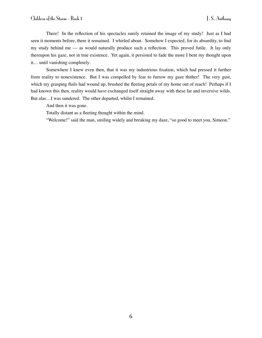There! In the reflection of his spectacles surely retained the image of my study! Just as I had seen it moments before, there it remained. I whirled about. Somehow I expected, for its absurdity, to find my study behind me –– as would naturally produce such a reflection. This proved futile. It lay only thereupon his gaze, not in true existence. Yet again, it persisted to fade the more I bent my thought upon it… until vanishing completely.

Somewhere I knew even then, that it was my industrious fixation, which had pressed it further from reality to nonexistence. But I was compelled by fear to furrow my gaze thither! The very gust, which my grasping flails had wound up, brushed the fleeting petals of my home out of reach! Perhaps if I had known this then, reality would have exchanged itself straight away with these far and inversive wilds. But alas…I was sundered. The other departed, whilst I remained.

And then it was gone.

Totally distant as a fleeting thought within the mind.

"Welcome!" said the man, smiling widely and breaking my daze, "so good to meet you, Simeon."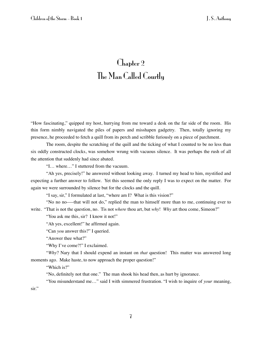## Chapter 2 The Man Called Courtly

"How fascinating," quipped my host, hurrying from me toward a desk on the far side of the room. His thin form nimbly navigated the piles of papers and misshapen gadgetry. Then, totally ignoring my presence, he proceeded to fetch a quill from its perch and scribble furiously on a piece of parchment.

The room, despite the scratching of the quill and the ticking of what I counted to be no less than six oddly constructed clocks, was somehow wrung with vacuous silence. It was perhaps the rush of all the attention that suddenly had since abated.

"I… where…" I stuttered from the vacuum.

"Ah yes, precisely!" he answered without looking away. I turned my head to him, mystified and expecting a further answer to follow. Yet this seemed the only reply I was to expect on the matter. For again we were surrounded by silence but for the clocks and the quill.

"I say, sir," I formulated at last, "where am I? What is this vision?"

"No no no–––that will not do," replied the man to himself more than to me, continuing ever to write. "That is not the question, no. Tis not *where* thou art, but *why*! *Why* art thou come, Simeon?"

"You ask me this, sir? I know it not!"

"Ah yes, excellent!" he affirmed again.

"Can *you* answer this?" I queried.

"Answer thee what?"

"Why I've come?!" I exclaimed.

"*Why*? Nary that I should expend an instant on *that* question! This matter was answered long moments ago. Make haste, to now approach the proper question!"

"Which is?"

"No, definitely not that one." The man shook his head then, as hurt by ignorance.

"You misunderstand me…" said I with simmered frustration. "I wish to inquire of *your* meaning, sir."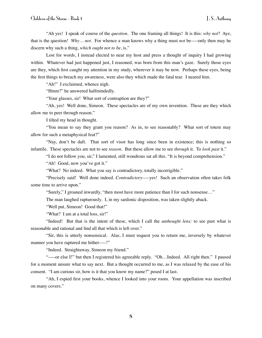"Ah yes! I speak of course of the *question*. The one framing all things! It is this: *why not*? Aye, that is the question! *Why… not.* For whence a man knows why a thing must *not* be–––only then may he discern why such a thing, *which ought not to be*, is."

Lost for words, I instead elected to near my host and press a thought of inquiry I had growing within. Whatever had just happened just, I reasoned, was born from this man's gaze. Surely those eyes are they, which first caught my attention in my study, wherever it may be now. Perhaps these eyes, being the first things to breach my awareness, were also they which made the fatal tear. I neared him.

"Ah!" I exclaimed, whence nigh.

"Hmm?" he answered halfmindedly.

"Your glasses, sir! What sort of contraption are they?"

"Ah, yes! Well done, Simeon. These spectacles are of my own invention. These are they which allow me to peer through reason."

I tilted my head in thought.

"You mean to say they grant you reason? As in, to see reasonably? What sort of totem may allow for such a metaphysical feat?"

"Nay, don't be daft. That sort of visor has long since been in existence; this is nothing so infantile. These spectacles are not to see *reason*. But these allow me to see *through* it. To *look past* it."

"I do not follow you, sir," I lamented, still wondrous sat all this. "It is beyond comprehension."

"Ah! Good, now you've got it."

"What? No indeed. What you say is contradictory, totally incorrigible."

"Precisely said! Well done indeed. *Contradictory*----yes! Such an observation often takes folk some time to arrive upon."

"Surely," I groaned inwardly, "then most have more patience than I for such nonsense…"

The man laughed rapturously. I, in my sardonic disposition, was taken slightly aback.

"Well put, Simeon! Good that!"

"What? I am at a total loss, sir!"

"Indeed! But that is the intent of these, which I call the *unthought lens:* to see past what is reasonable and rational and find all that which is left over."

"Sir, this is utterly nonsensical. Alas, I must request you to return me, inversely by whatever manner you have raptured me hither—–!"

"Indeed. Straightaway, Simeon my friend."

"–––or else I!" but then I registered his agreeable reply. "Oh…Indeed. All right then." I paused for a moment unsure what to say next. But a thought occurred to me, as I was relaxed by the ease of his consent. "I am curious sir, how is it that you know my name?" posed I at last.

"Ah, I espied first your books, whence I looked into your room. Your appellation was inscribed on many covers."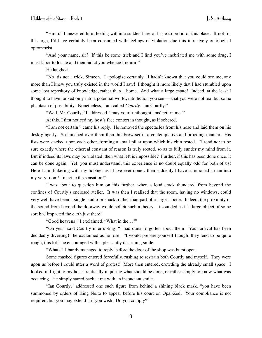"Hmm." I answered him, feeling within a sudden flare of haste to be rid of this place. If not for this urge, I'd have certainly been consumed with feelings of violation due this intrusively ontological optometrist.

"And your name, sir? If this be some trick and I find you've inebriated me with some drug, I must labor to locate and then indict you whence I return!"

He laughed.

"No, tis not a trick, Simeon. I apologize certainly. I hadn't known that you could see me, any more than I knew you truly existed in the world I saw! I thought it more likely that I had stumbled upon some lost repository of knowledge, rather than a home. And what a large estate! Indeed, at the least I thought to have looked only into a potential world, into fiction you see–––that you were not real but some phantasm of possibility. Nonetheless, I am called *Courtly*. Ian Courtly."

"Well, Mr. Courtly," I addressed, "may your 'unthought lens' return me?"

At this, I first noticed my host's face contort in thought, as if sobered.

"I am not certain," came his reply. He removed the spectacles from his nose and laid them on his desk gingerly. So hunched over them then, his brow set in a contemplative and brooding manner. His fists were stacked upon each other, forming a small pillar upon which his chin rested. "I tend *not* to be sure exactly where the ethereal constant of reason is truly rooted, so as to fully sunder my mind from it. But if indeed its laws may be violated, then what left is impossible? Further, if this has been done once, it can be done again. Yet, you must understand, this experience is no doubt equally odd for both of us! Here I am, tinkering with my hobbies as I have ever done...then suddenly I have summoned a man into my very room! Imagine the sensation!"

I was about to question him on this further, when a loud crack thundered from beyond the confines of Courtly's enclosed atelier. It was then I realized that the room, having no windows, could very well have been a single studio or shack, rather than part of a larger abode. Indeed, the proximity of the sound from beyond the doorway would solicit such a theory. It sounded as if a large object of some sort had impacted the earth just there!

"Good heavens!" I exclaimed, "What in the…?"

"Oh yes," said Courtly interrupting, "I had quite forgotten about them. Your arrival has been decidedly diverting!" he exclaimed as he rose. "I would prepare yourself though, they tend to be quite rough, this lot," he encouraged with a pleasantly disarming smile.

"What?" I barely managed to reply, before the door of the shop was burst open.

Some masked figures entered forcefully, rushing to restrain both Courtly and myself. They were upon us before I could utter a word of protest! More then entered, crowding the already small space. I looked in fright to my host: frantically inquiring what should be done, or rather simply to know what was occurring. He simply stared back at me with an insouciant smile.

"Ian Courtly," addressed one such figure from behind a shining black mask, "you have been summoned by orders of King Neito to appear before his court on Opal-Zed. Your compliance is not required, but you may extend it if you wish. Do you comply?"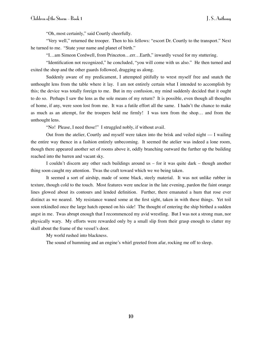"Oh, most certainly," said Courtly cheerfully.

"Very well," returned the trooper. Then to his fellows: "escort Dr. Courtly to the transport." Next he turned to me. "State your name and planet of birth."

"I…am Simeon Cordwell, from Princeton…err…Earth," inwardly vexed for my stuttering.

"Identification not recognized," he concluded, "you will come with us also." He then turned and exited the shop and the other guards followed, dragging us along.

Suddenly aware of my predicament, I attempted pitifully to wrest myself free and snatch the unthought lens from the table where it lay. I am not entirely certain what I intended to accomplish by this; the device was totally foreign to me. But in my confusion, my mind suddenly decided that it ought to do so. Perhaps I saw the lens as the sole means of my return? It is possible, even though all thoughts of home, if any, were soon lost from me. It was a futile effort all the same. I hadn't the chance to make as much as an attempt, for the troopers held me firmly! I was torn from the shop… and from the unthought lens.

"No! Please, I need those!" I struggled nobly, if without avail.

Out from the atelier, Courtly and myself were taken into the brisk and veiled night –– I wailing the entire way thence in a fashion entirely unbecoming. It seemed the atelier was indeed a lone room, though there appeared another set of rooms above it, oddly branching outward the further up the building reached into the barren and vacant sky.

I couldn't discern any other such buildings around us – for it was quite dark – though another thing soon caught my attention. Twas the craft toward which we we being taken.

It seemed a sort of airship, made of some black, steely material. It was not unlike rubber in texture, though cold to the touch. Most features were unclear in the late evening, pardon the faint orange lines glowed about its contours and lended definition. Further, there emanated a hum that rose ever distinct as we neared. My resistance waned some at the first sight, taken in with these things. Yet toil soon rekindled once the large hatch opened on his side! The thought of entering the ship birthed a sudden angst in me. Twas abrupt enough that I recommenced my avid wrestling. But I was not a strong man, nor physically wary. My efforts were rewarded only by a small slip from their grasp enough to clatter my skull about the frame of the vessel's door.

My world rushed into blackness.

The sound of humming and an engine's whirl greeted from afar, rocking me off to sleep.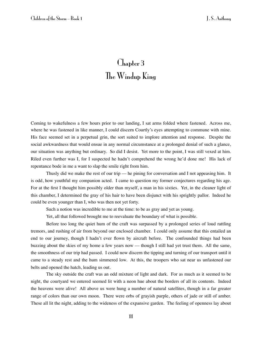# Chapter 3 The Windup King

Coming to wakefulness a few hours prior to our landing, I sat arms folded where fastened. Across me, where he was fastened in like manner, I could discern Courtly's eyes attempting to commune with mine. His face seemed set in a perpetual grin, the sort suited to implore attention and response. Despite the social awkwardness that would ensue in any normal circumstance at a prolonged denial of such a glance, our situation was anything but ordinary. So did I desist. Yet more to the point, I was still vexed at him. Riled even further was I, for I suspected he hadn't comprehend the wrong he'd done me! His lack of repentance bode in me a want to slap the smile right from him.

Thusly did we make the rest of our trip — he pining for conversation and I not appeasing him. It is odd, how youthful my companion acted. I came to question my former conjectures regarding his age. For at the first I thought him possibly older than myself, a man in his sixties. Yet, in the cleaner light of this chamber, I determined the gray of his hair to have been disjunct with his sprightly pallor. Indeed he could be even younger than I, who was then not yet forty.

Such a notion was incredible to me at the time: to be as gray and yet as young.

Yet, all that followed brought me to reevaluate the boundary of what is possible.

Before too long the quiet hum of the craft was surpassed by a prolonged series of loud rattling tremors, and rushing of air from beyond our enclosed chamber. I could only assume that this entailed an end to our journey, though I hadn't ever flown by aircraft before. The confounded things had been buzzing about the skies of my home a few years now — though I still had yet trust them. All the same, the smoothness of our trip had passed. I could now discern the tipping and turning of our transport until it came to a steady rest and the hum simmered low. At this, the troopers who sat near us unfastened our belts and opened the hatch, leading us out.

The sky outside the craft was an odd mixture of light and dark. For as much as it seemed to be night, the courtyard we entered seemed lit with a neon hue about the borders of all its contents. Indeed the heavens were alive! All above us were hung a number of natural satellites, though in a far greater range of colors than our own moon. There were orbs of grayish purple, others of jade or still of amber. These all lit the night, adding to the wideness of the expansive garden. The feeling of openness lay about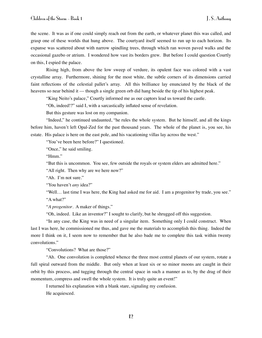the scene. It was as if one could simply reach out from the earth, or whatever planet this was called, and grasp one of these worlds that hung above. The courtyard itself seemed to run up to each horizon. Its expanse was scattered about with narrow spindling trees, through which ran woven paved walks and the occasional gazebo or atrium. I wondered how vast its borders grew. But before I could question Courtly on this, I espied the palace.

Rising high, from above the low sweep of verdure, its opulent face was colored with a vast crystalline array. Furthermore, shining for the most white, the subtle corners of its dimensions carried faint reflections of the celestial pallet's array. All this brilliance lay enunciated by the black of the heavens so near behind it — though a single green orb did hang beside the tip of his highest peak.

"King Neito's palace," Courtly informed me as our captors lead us toward the castle.

"Oh, indeed!?" said I, with a sarcastically inflated sense of revelation.

But this gesture was lost on my companion.

"Indeed," he continued undaunted, "he rules the whole system. But he himself, and all the kings before him, haven't left Opal-Zed for the past thousand years. The whole of the planet is, you see, his estate. His palace is here on the east pole, and his vacationing villas lay across the west."

"You've been here before?" I questioned.

"Once," he said smiling.

"Hmm."

"But this is uncommon. You see, few outside the royals or system elders are admitted here."

"All right. Then why are we here now?"

"Ah. I'm not sure."

"You haven't *any* idea?"

"Well… last time I was here, the King had asked me for aid. I am a progenitor by trade, you see." "A what?"

"*A progenitor*. A maker of things."

"Oh, indeed. Like an inventor?" I sought to clarify, but he shrugged off this suggestion.

"In any case, the King was in need of a singular item. Something only I could construct. When last I was here, he commissioned me thus, and gave me the materials to accomplish this thing. Indeed the more I think on it, I seem now to remember that he also bade me to complete this task within twenty convolutions."

"Convolutions? What are those?"

"Ah. One convolution is completed whence the three most central planets of our system, rotate a full spiral outward from the middle. But only when at least six or so minor moons are caught in their orbit by this process, and tugging through the central space in such a manner as to, by the drag of their momentum, compress and swell the whole system. It is truly quite an event!"

I returned his explanation with a blank stare, signaling my confusion. He acquiesced.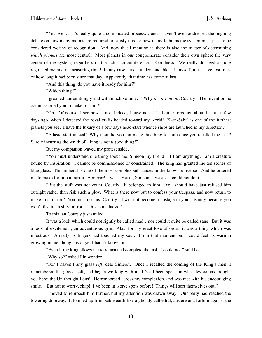"Yes, well… it's really quite a complicated process… and I haven't even addressed the ongoing debate on how many moons are required to satisfy this, or how many fathoms the system must pass to be considered worthy of recognition! And, now that I mention it, there is also the matter of determining *which planets* are most central. Most planets in our conglomerate consider their own sphere the very center of the system, regardless of the actual circumference… Goodness. We really do need a more regulated method of measuring time! In any case – as is understandable – I, myself, must have lost track of how long it had been since that day. Apparently, that time has come at last."

"And this thing, do you have it ready for him?"

"Which thing?"

I groaned, unremittingly and with much volume. "Why *the invention*, Courtly! The invention he commissioned you to make for him!"

"Oh! Of course, I see now… no. Indeed, I have not. I had quite forgotten about it until a few days ago, when I detected the royal crafts headed toward my world! Karn-Sabal is one of the furthest planets you see. I have the luxury of a few days head-start whence ships are launched in my direction."

"A head-start indeed! Why then did you not make this thing for him once you recalled the task? Surely incurring the wrath of a king is not a good thing!"

But my companion waved my protest aside.

"You must understand one thing about me, Simeon my friend. If I am anything, I am a creature bound by inspiration. I cannot be commissioned or constrained. The king had granted me ten stones of blue-glass. This mineral is one of the most complex substances in the known universe! And he ordered me to make for him a mirror. A mirror! Twas a waste, Simeon, a waste. I could not do it."

"But the stuff was not yours, Courtly. It belonged to him! You should have just refused him outright rather than risk such a ploy. What is there now but to confess your trespass, and now return to make this mirror? You must do this, Courtly! I will not become a hostage in your insanity because you won't fashion a silly mirror—–this is madness!"

To this Ian Courtly just smiled.

It was a look which could not rightly be called mad…nor could it quite be called sane. But it was a look of excitement, an adventurous grin. Alas, for my great love of order, it was a thing which was infectious. Already its fingers had touched my soul. From that moment on, I could feel its warmth growing in me, though as of yet I hadn't known it.

"Even if the king allows me to return and complete the task, I could not," said he.

"Why so?" asked I in wonder.

"For I haven't any glass *left*, dear Simeon. Once I recalled the coming of the King's men, I remembered the glass itself, and began working with it. It's all been spent on what device has brought you here: the Un-thought Lens!" Horror spread across my complexion, and was met with his encouraging smile. "But not to worry, chap! I've been in worse spots before! Things will sort themselves out."

I moved to reproach him further, but my attention was drawn away. Our party had reached the towering doorway. It loomed up from sable earth like a ghostly cathedral, austere and forlorn against the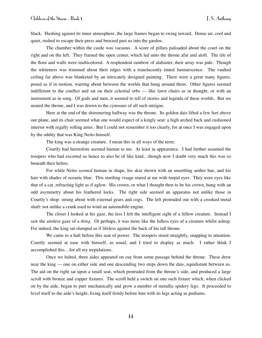black. Hushing against its inner atmosphere, the large frames began to swing inward. Dense air, cool and quiet, rushed to escape their press and breezed past us into the garden.

The chamber within the castle was vacuous. A score of pillars palisaded about the court on the right and on the left. They framed the open center, which led unto the throne afar and aloft. The tile of the floor and walls were multicolored. A resplendent rainbow of alabaster, their array was pale. Though the whiteness was trimmed about their edges with a translucently tinted luminescence. The vaulted ceiling far above was blanketed by an intricately designed painting. There were a great many figures, posed as if in motion, warring about between the worlds that hung around them. Other figures seemed indifferent to the conflict and sat on their celestial orbs — like lawn chairs as in thought, or with an instrument as in song. Of gods and men, it seemed to tell of stories and legends of these worlds. But we neared the throne, and I was drawn to the cynosure of all such intrigue.

Here at the end of the shimmering hallway was the throne. Its golden dais lifted a few feet above our plane, and its chair seemed what one would expect of a kingly seat: a high arched back and cushioned interior with regally rolling arms. But I could not remember it too clearly, for at once I was engaged upon by the oddity that was King Neito himself.

The king was a strange creature. I mean this in all ways of the term.

Courtly had heretofore seemed human to me. At least in appearance. I had further assumed the troopers who had escorted us hence to also be of like kind…though now I doubt very much this was so beneath their helms.

For while Neito *seemed* human in shape, his skin shown with an unsettling amber hue, and his hair with shades of oceanic blue. This startling visage stared at me with torpid eyes. They were eyes like that of a cat, refracting light as if aglow. His crown, or what I thought then to be his crown, hung with an odd asymmetry about his feathered locks. The right side seemed an apparatus not unlike those in Courtly's shop: strung about with external gears and cogs. The left protruded out with a crooked metal shaft: not unlike a crank used to wind an automobile engine.

The closer I looked at his gaze, the less I felt the intelligent sight of a fellow creature. Instead I saw the aimless gaze of a *thing*. Or perhaps, it was more like the lidless eyes of a creature whilst asleep. For indeed, the king sat slumped as if lifeless against the back of his tall throne.

We came to a halt before this seat of power. The troopers stood straightly, snapping to attention. Courtly seemed at ease with himself, as usual, and I tried to display as much. I rather think I accomplished this…for all my trepidations.

Once we halted, three aides appeared on cue from some passage behind the throne. These drew near the king –– one on either side and one descending two steps down the dais, equidistant between us. The aid on the right sat upon a small seat, which protruded from the throne's side, and produced a large scroll with bronze and copper fixtures. The scroll held a switch on one such fixture which, when clicked on by the aide, began to purr mechanically and grow a number of metallic spidery legs. It proceeded to level itself to the aide's height, fixing itself firmly before him with its legs acting as podiums.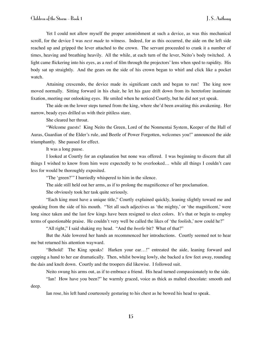Yet I could not allow myself the proper astonishment at such a device, as was this mechanical scroll, for the device I was *next made* to witness. Indeed, for as this occurred, the aide on the left side reached up and gripped the lever attached to the crown. The servant proceeded to crank it a number of times, heaving and breathing heavily. All the while, at each turn of the lever, Neito's body twitched. A light came flickering into his eyes, as a reel of film through the projectors' lens when sped to rapidity. His body sat up straightly. And the gears on the side of his crown began to whirl and click like a pocket watch.

Attaining crescendo, the device made its significant catch and began to run! The king now moved normally. Sitting forward in his chair, he let his gaze drift down from its heretofore inanimate fixation, meeting our onlooking eyes. He smiled when he noticed Courtly, but he did not yet speak.

The aide on the lower steps turned from the king, where she'd been awaiting this awakening. Her narrow, beady eyes drilled us with their pitiless stare.

She cleared her throat.

"Welcome guests! King Neito the Green, Lord of the Nonmentai System, Keeper of the Hall of Auras, Guardian of the Elder's rule, and Beetle of Power Forgotten, welcomes you!" announced the aide triumphantly. She paused for effect.

It was a long pause.

I looked at Courtly for an explanation but none was offered. I was beginning to discern that all things I wished to know from him were expectedly to be overlooked… while all things I couldn't care less for would be thoroughly exposited.

"The 'green?'" I hurriedly whispered to him in the silence.

The aide still held out her arms, as if to prolong the magnificence of her proclamation.

She obviously took her task quite seriously.

"Each king must have a unique title," Courtly explained quickly, leaning slightly toward me and speaking from the side of his mouth. "Yet all such adjectives as 'the mighty,' or 'the magnificent,' were long since taken and the last few kings have been resigned to elect colors. It's that or begin to employ terms of questionable praise. He couldn't very well be called the likes of 'the foolish,' now could he?"

"All right," I said shaking my head. "And the *beetle* bit? What of that?"

But the Aide lowered her hands an recommenced her introductions. Courtly seemed not to hear me but returned his attention wayward.

"Behold! The King speaks! Harken your ear…!" entreated the aide, leaning forward and cupping a hand to her ear dramatically. Then, whilst bowing lowly, she backed a few feet away, rounding the dais and knelt down. Courtly and the troopers did likewise. I followed suit.

Neito swung his arms out, as if to embrace a friend. His head turned compassionately to the side.

"Ian! How have you been?" he warmly graced, voice as thick as malted chocolate: smooth and deep.

Ian rose, his left hand courteously gesturing to his chest as he bowed his head to speak.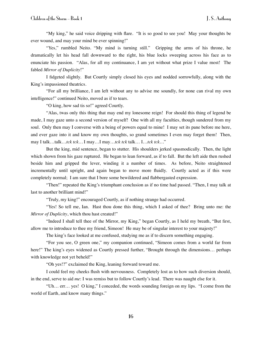"My king," he said voice dripping with flare. "It is so good to see you! May your thoughts be ever wound, and may your mind be ever spinning!"

"Yes," rumbled Neito. "My mind is turning still." Gripping the arms of his throne, he dramatically let his head fall downward to the right, his blue locks sweeping across his face as to enunciate his passion. "Alas, for all my continuance, I am yet without what prize I value most! The fabled *Mirror of Duplicity*!"

I fidgeted slightly. But Courtly simply closed his eyes and nodded sorrowfully, along with the King's impassioned theatrics.

"For all my brilliance, I am left without any to advise me soundly, for none can rival my own intelligence!" continued Neito, moved as if to tears.

"O king, how sad tis so!" agreed Courtly.

"Alas, twas only this thing that may end my lonesome reign! For should this thing of legend be made, I may gaze unto a second version of myself! One with all my faculties, though sundered from my soul. Only then may I converse with a being of powers equal to mine! I may set its pane before me here, and ever gaze into it and know my own thoughts, so grand sometimes I even may forget them! Then, may I talk…talk…*tck tck…* I may…I may…*tck tck* talk… I…*tck tck…*"

But the king, mid sentence, began to stutter. His shoulders jerked spasmodically. Then, the light which shown from his gaze ruptured. He began to lean forward, as if to fall. But the left aide then rushed beside him and gripped the lever, winding it a number of times. As before, Neito straightened incrementally until upright, and again began to move more fluidly. Courtly acted as if this were completely normal; I am sure that I bore some bewildered and flabbergasted expression.

"Then!" repeated the King's triumphant conclusion as if no time had passed. "Then, I may talk at last to another brilliant mind!"

"Truly, my king!" encouraged Courtly, as if nothing strange had occurred.

"Yes! So tell me, Ian. Hast thou done this thing, which I asked of thee? Bring unto me: the *Mirror of Duplicity*, which thou hast created!"

"Indeed I shall tell thee of the Mirror, my King," began Courtly, as I held my breath, "But first, allow me to introduce to thee my friend, Simeon! He may be of singular interest to your majesty!"

The king's face looked at me confused, studying me as if to discern something engaging.

"For you see, O green one," my companion continued, "Simeon comes from a world far from here!" The king's eyes widened as Courtly pressed further, "Brought through the dimensions... perhaps with knowledge not yet beheld!"

"Oh yes!?" exclaimed the King, leaning forward toward me.

I could feel my cheeks flush with nervousness. Completely lost as to how such diversion should, in the end, serve to aid *me*: I was remiss but to follow Courtly's lead. There was naught else for it.

"Uh… err… yes! O king," I conceded, the words sounding foreign on my lips. "I come from the world of Earth, and know many things."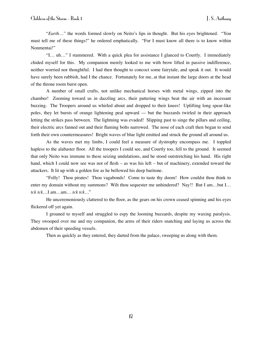"*Earth…"* the words formed slowly on Neito's lips in thought. But his eyes brightened. "You must tell me of these things!" he ordered emphatically. "For I must know all there is to know within Nonmentai!"

"I… uh…" I stammered. With a quick plea for assistance I glanced to Courtly. I immediately chided myself for this. My companion merely looked to me with brow lifted in passive indifference, neither worried nor thoughtful. I had then thought to concoct some fairytale, and speak it out. It would have surely been rubbish, had I the chance. Fortunately for me, at that instant the large doors at the head of the throne room burst open.

A number of small crafts, not unlike mechanical horses with metal wings, zipped into the chamber! Zooming toward us in dazzling arcs, their pattering wings beat the air with an incessant buzzing. The Troopers around us whirled about and dropped to their knees! Uplifting long spear-like poles, they let bursts of orange lightening peal upward –– but the buzzards twirled in their approach letting the strikes pass between. The lightning was evaded! Slipping past to singe the pillars and ceiling, their electric arcs fanned out and their flaming bolts narrowed. The nose of each craft then began to send forth their own countermeasures! Bright waves of blue light emitted and struck the ground all around us.

As the waves met my limbs, I could feel a measure of dystrophy encompass me. I toppled hapless to the alabaster floor. All the troopers I could see, and Courtly too, fell to the ground. It seemed that only Neito was immune to these seizing undulations, and he stood outstretching his hand. His right hand, which I could now see was not of flesh – as was his left – but of machinery, extended toward the attackers. It lit up with a golden fire as he bellowed his deep baritone.

"Folly! Thou pirates! Thou vagabonds! Come to taste thy doom! How couldst thou think to enter my domain without my summons? Wilt thou sequester me unhindered? Nay!! But I am...but I... *tck tck*…I am…am… *tck tck…*"

He unceremoniously clattered to the floor, as the gears on his crown ceased spinning and his eyes flickered off yet again.

I groaned to myself and struggled to espy the looming buzzards, despite my waxing paralysis. They swooped over me and my companion, the arms of their riders snatching and laying us across the abdomen of their speeding vessels.

Then as quickly as they entered, they darted from the palace, sweeping us along with them.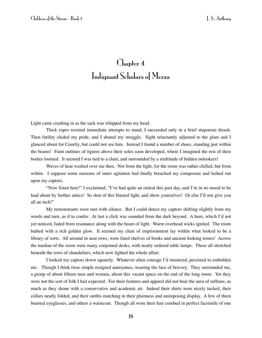## Chapter 4 Indignant Scholars of Merza

Light came crashing in as the sack was whipped from my head.

Thick ropes resisted immediate attempts to stand; I succeeded only in a brief stuporous thrash. Then futility chided my pride, and I abated my struggle. Sight reluctantly adjusted to the glare and I glanced about for Courtly, but could not see him. Instead I found a number of shoes, standing just within the beams! Faint outlines of figures above their soles soon developed, where I imagined the rest of their bodies loomed. It seemed I was tied to a chair, and surrounded by a multitude of hidden onlookers!

Waves of heat washed over me then. Not from the light, for the room was rather chilled, but from within. I suppose some measure of inner agitation had finally breached my composure and lashed out upon my captors.

"Now listen here!" I exclaimed, "I've had quite an ordeal this past day, and I'm in no mood to be lead about by further antics! So shut of this blasted light, and show yourselves! Or else I'll not give you all an inch!"

My remonstrants were met with silence. But I could detect my captors shifting slightly from my words and turn, as if to confer. At last a click was sounded from the dark beyond. A hum, which I'd not yet noticed, faded from resonance along with the beam of light. Warm overhead wicks ignited. The room bathed with a rich golden glow. It seemed my chair of imprisonment lay within what looked to be a library of sorts. All around in neat rows, were lined shelves of books and ancient looking tomes! Across the median of the room were many conjoined desks, with neatly ordered table lamps. These all stretched beneath the rows of chandeliers, which now lighted the whole affair.

I looked my captors down squarely. Whatever alien courage I'd mustered, persisted to embolden me. Though I think twas simple resigned annoyance, wearing the face of bravery. They surrounded me, a group of about fifteen men and women, about this vacant space on the end of the long room. Yet they were not the sort of folk I had expected. For their features and apparel did not bear the aura of ruffians, as much as they shone with a conservative and academic air. Indeed their shirts were nicely tucked, their collars neatly folded, and their outfits matching in their plainness and unimposing display. A few of them boasted eyeglasses, and others a waistcoat. Though all wore their hair combed in perfect facsimile of one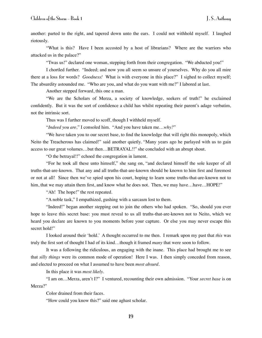another: parted to the right, and tapered down unto the ears. I could not withhold myself. I laughed riotously.

"What is this? Have I been accosted by a host of librarians? Where are the warriors who attacked us in the palace?"

"Twas us!" declared one woman, stepping forth from their congregation. "We abducted you!"

I chortled further. "Indeed; and now you all seem so unsure of yourselves. Why do you all mire there at a loss for words? *Goodness!* What is with everyone in this place?" I sighed to collect myself; The absurdity astounded me. "Who are you, and what do you want with me?" I labored at last.

Another stepped forward, this one a man.

"We are the Scholars of Merza, a society of knowledge, seekers of truth!" he exclaimed confidently. But it was the sort of confidence a child has whilst repeating their parent's adage verbatim, not the intrinsic sort.

Thus was I further moved to scoff, though I withheld myself.

"*Indeed you are,*" I consoled him. "And you have taken me…*why?*"

"We have taken you to our secret base, to find the knowledge that will right this monopoly, which Neito the Treacherous has claimed!" said another quietly. "Many years ago he parlayed with us to gain access to our great volumes…but then…BETRAYAL!!" she concluded with an abrupt shout.

"O the betrayal!!" echoed the congregation in lament.

"For he took all these unto himself," she sang on, "and declared himself the sole keeper of all truths-that-are-known. That any and all truths-that-are-known should be known to him first and foremost or not at all! Since then we've spied upon his court, hoping to learn some truths-that-are-known not to him, that we may attain them first, and know what he does not. Then, we may have...have...HOPE!"

"Ah! The hope!" the rest repeated.

"A noble task," I empathized, gushing with a sarcasm lost to them.

"Indeed!" began another stepping out to join the others who had spoken. "So, should you ever hope to leave this secret base: you must reveal to us all truths-that-are-known not to Neito, which we heard you declare are known to you moments before your capture. Or else you may never escape this secret hold!"

I looked around their 'hold.' A thought occurred to me then. I remark upon my past that *this* was truly the first sort of thought I had of its kind…though it framed *many* that were soon to follow.

It was a following the ridiculous, an engaging with the inane. This place had brought me to see that *silly things* were its common mode of operation! Here I was. I then simply conceded from reason, and elected to proceed on what I assumed to have been *most absurd*.

In this place it was *most likely.*

"I am on…Merza, aren't I?" I ventured, recounting their own admission. "Your *secret base* is on Merza?"

Color drained from their faces.

"How could you know this?" said one aghast scholar.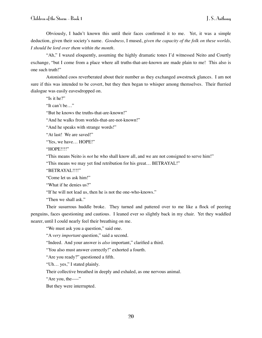Obviously, I hadn't known this until their faces confirmed it to me. Yet, it was a simple deduction, given their society's name. *Goodness,* I mused, *given the capacity of the folk on these worlds, I should be lord over them within the month.* 

"Ah," I waxed eloquently, assuming the highly dramatic tones I'd witnessed Neito and Courtly exchange, "but I come from a place where all truths-that-are-known are made plain to me! This also is one such truth!"

Astonished coos reverberated about their number as they exchanged awestruck glances. I am not sure if this was intended to be covert, but they then began to whisper among themselves. Their flurried dialogue was easily eavesdropped on.

"Is it he?"

"It can't be…"

"But he knows the truths-that-are-known!"

"And he walks from worlds-that-are-not-known!"

"And he speaks with strange words!"

"At last! We are saved!"

"Yes, we have… HOPE!"

"HOPE!!!!"

"This means Neito is *not* he who shall know all, and we are not consigned to serve him!"

"This means we may yet find retribution for his great… BETRAYAL!"

"BETRAYAL!!!!"

"Come let us ask him!"

"What if he denies us?"

"If he will not lead us, then he is not the one-who-knows."

"Then we shall ask."

Their susurrous huddle broke. They turned and pattered over to me like a flock of peering penguins, faces questioning and cautious. I leaned ever so slightly back in my chair. Yet they waddled nearer, until I could nearly feel their breathing on me.

"We must ask you a question," said one.

"A *very important* question," said a second.

"Indeed. And your answer is *also* important," clarified a third.

"You also must answer correctly!" exhorted a fourth.

"Are you ready?" questioned a fifth.

"Uh… yes," I stated plainly.

Their collective breathed in deeply and exhaled, as one nervous animal.

"Are you, the—"

But they were interrupted.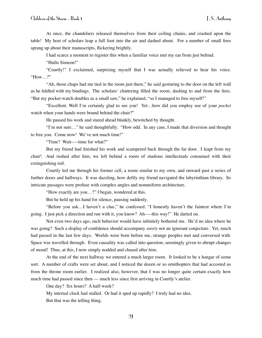At once, the chandeliers released themselves from their ceiling chains, and crashed upon the table! My host of scholars leap a full foot into the air and dashed about. For a number of small fires sprang up about their manuscripts, flickering brightly.

I had scarce a moment to register this when a familiar voice met my ear from just behind.

"Hullo Simeon!"

"Courtly!" I exclaimed, surprising myself that I was actually relieved to hear his voice. "How…?"

"Ah, those chaps had me tied in the room just there," he said gesturing to the door on the left wall as he fiddled with my bindings. The scholars' chattering filled the room, dashing to and from the fires. "But my pocket-watch doubles as a small saw," he explained, "so I managed to free myself!"

"Excellent. Well I'm certainly glad to see you! Yet…how did you employ use of your *pocket* watch when your hands were bound behind the chair?"

He paused his work and stared ahead blankly, bewitched by thought.

"I'm not sure…" he said thoughtfully. "How odd. In any case, I made that diversion and thought to free you. Come now! We've not much time!"

"Time? Wait–––time for what?"

But my friend had finished his work and scampered back through the far door. I leapt from my chair! And rushed after him, we left behind a room of studious intellectuals consumed with their extinguishing toil.

Courtly led me through his former cell, a room similar to my own, and onward past a series of further doors and hallways. It was dazzling, how deftly my friend navigated the labyrinthian library. Its intricate passages were profuse with complex angles and nonuniform architecture.

"How exactly are you…?" I began, wondered at this.

But he held up his hand for silence, pausing suddenly.

"Before you ask…I haven't a clue," he confessed. "I honestly haven't the faintest where I'm going. I just pick a direction and run with it, you know? Ah–––this way!" He darted on.

Not even two days ago, such behavior would have infinitely bothered me. He'd no idea where he was going? Such a display of confidence should accompany *surety* not an ignorant conjecture. Yet, much had passed in the last few days. Worlds were born before me, strange peoples met and conversed with. Space was travelled through. Even causality was called into question, seemingly given to abrupt changes of mood! Thus, at this, I now simply nodded and chased after him.

At the end of the next hallway we entered a much larger room. It looked to be a hangar of some sort. A number of crafts were set about, and I noticed the dozen or so ornithopters that had accosted us from the throne room earlier. I realized also, however, that I was no longer quite certain exactly how much time had passed since then –– much less since first arriving in Courtly's atelier.

One day? Six hours? A half-week?

My internal clock had stalled. Or had it sped up rapidly? I truly had no idea.

But that was the telling thing.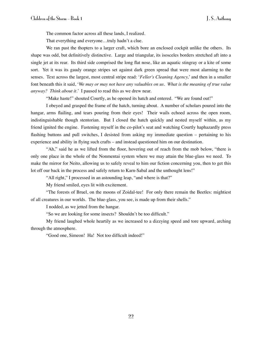The common factor across all these lands, I realized.

That everything and everyone…truly hadn't a clue.

We ran past the thopters to a larger craft, which bore an enclosed cockpit unlike the others. Its shape was odd, but definitively distinctive. Large and triangular, its isosceles borders stretched aft into a single jet at its rear. Its third side comprised the long flat nose, like an aquatic stingray or a kite of some sort. Yet it was its gaudy orange stripes set against dark green spread that were most alarming to the senses. Text across the largest, most central stripe read: '*Feller's Cleaning Agency,*' and then in a smaller font beneath this it said, '*We may or may not have any valuables on us. What is the meaning of true value anyway? Think about it.*' I paused to read this as we drew near.

"Make haste!" shouted Courtly, as he opened its hatch and entered. "We are found out!"

I obeyed and grasped the frame of the hatch, turning about. A number of scholars poured into the hangar, arms flailing, and tears pouring from their eyes! Their wails echoed across the open room, indistinguishable though stentorian. But I closed the hatch quickly and nested myself within, as my friend ignited the engine. Fastening myself in the co-pilot's seat and watching Courtly haphazardly press flashing buttons and pull switches, I desisted from asking my immediate question – pertaining to his experience and ability in flying such crafts – and instead questioned him on our destination.

"Ah," said he as we lifted from the floor, hovering out of reach from the mob below, "there is only one place in the whole of the Nonmentai system where we may attain the blue-glass we need. To make the mirror for Neito, allowing us to safely reveal to him our fiction concerning you, then to get this lot off our back in the process and safely return to Karn-Sabal and the unthought lens!"

"All right," I processed in an astounding leap, "and where is that?"

My friend smiled, eyes lit with excitement.

"The forests of Bruel, on the moons of Zoidal-tee! For only there remain the Beetles: mightiest of all creatures in our worlds. The blue-glass, you see, is made up from their shells."

I nodded, as we jetted from the hangar.

"So we are looking for some insects? Shouldn't be too difficult."

My friend laughed whole heartily as we increased to a dizzying speed and tore upward, arching through the atmosphere.

"Good one, Simeon! Ha! Not too difficult indeed!"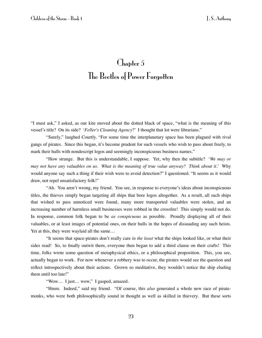### Chapter 5 The Beetles of Power Forgotten

"I must ask," I asked, as our kite moved about the dotted black of space, "what is the meaning of this vessel's title? On its side? '*Feller's Cleaning Agency*?' I thought that lot were librarians."

"Surely," laughed Courtly. "For some time the interplanetary space has been plagued with rival gangs of pirates. Since this began, it's become prudent for such vessels who wish to pass about freely, to mark their hulls with nondescript logos and seemingly inconspicuous business names."

"How strange. But this is understandable, I suppose. Yet, why then the subtitle? '*We may or may not have any valuables on us. What is the meaning of true value anyway? Think about it*.' Why would anyone say such a thing if their wish were to avoid detection?" I questioned. "It seems as it would draw, not repel unsatisfactory folk!"

"Ah. You aren't wrong, my friend. You see, in response to everyone's ideas about inconspicuous titles, the thieves simply began targeting all ships that bore logos altogether. As a result, all such ships that wished to pass unnoticed were found, many more transported valuables were stolen, and an increasing number of harmless small businesses were robbed in the crossfire! This simply would not do. In response, common folk began to be *as conspicuous* as possible. Proudly displaying all of their valuables, or at least images of potential ones, on their hulls in the hopes of dissuading any such heists. Yet at this, they were waylaid all the same…

"It seems that space-pirates don't really care *in the least* what the ships looked like, or what their sides read! So, to finally outwit them, everyone then began to add a third clause on their crafts! This time, folks wrote some question of metaphysical ethics, or a philosophical proposition. This, you see, actually began to work. For now whenever a robbery was to occur, the pirates would see the question and reflect introspectively about their actions. Grown so meditative, they wouldn't notice the ship eluding them until too late!"

"Wow… I just… wow," I gasped, amazed.

"Hmm. Indeed," said my friend. "Of course, this *also* generated a whole new race of piratemonks, who were both philosophically sound in thought as well as skilled in thievery. But these sorts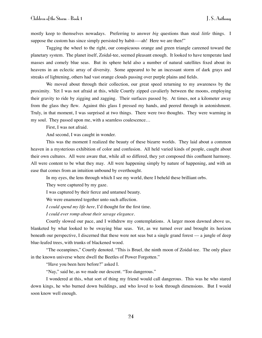mostly keep to themselves nowadays. Preferring to answer *big* questions than steal *little* things. I suppose the custom has since simply persisted by habit—–ah! Here we are then!"

Tugging the wheel to the right, our conspicuous orange and green triangle careened toward the planetary system. The planet itself, Zoidal-tee, seemed pleasant enough. It looked to have temperate land masses and comely blue seas. But its sphere held also a number of natural satellites fixed about its heavens in an eclectic array of diversity. Some appeared to be an incessant storm of dark grays and streaks of lightening, others had vast orange clouds passing over purple plains and fields.

We moved about through their collection, our great speed returning to my awareness by the proximity. Yet I was not afraid at this, while Courtly zipped cavalierly between the moons, employing their gravity to ride by zigging and zagging. Their surfaces passed by. At times, not a kilometer away from the glass they flew. Against this glass I pressed my hands, and peered through in astonishment. Truly, in that moment, I was surprised at two things. There were two thoughts. They were warming in my soul. They passed upon me, with a seamless coalescence…

First, I was not afraid.

And second, I was caught in wonder.

This was the moment I realized the beauty of these bizarre worlds. They laid about a common heaven in a mysterious exhibition of color and confusion. All held varied kinds of people, caught about their own cultures. All were aware that, while all so differed, they yet composed this confluent harmony. All were content to be what they may. All were happening simply by nature of happening, and with an ease that comes from an intuition unbound by overthought.

In my eyes, the lens through which I see my world, there I beheld these brilliant orbs.

They were captured by my gaze.

I was captured by their fierce and untamed beauty.

We were enamored together unto such affection.

*I could spend my life here,* I'd thought for the first time.

*I could ever romp about their savage elegance.*

Courtly slowed our pace, and I withdrew my contemplations. A larger moon dawned above us, blanketed by what looked to be swaying blue seas. Yet, as we turned over and brought its horizon beneath our perspective, I discerned that these were not seas but a single grand forest –– a jungle of deep blue-leafed trees, with trunks of blackened wood.

"The oceanpines," Courtly denoted. "This is Bruel, the ninth moon of Zoidal-tee. The only place in the known universe where dwell the Beetles of Power Forgotten."

"Have you been here before?" asked I.

"Nay," said he, as we made our descent. "Too dangerous."

I wondered at this, what sort of thing my friend would call dangerous. This was he who stared down kings, he who burned down buildings, and who loved to look through dimensions. But I would soon know well enough.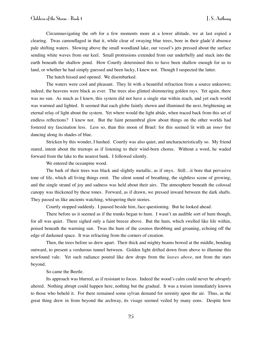Circumnavigating the orb for a few moments more at a lower altitude, we at last espied a clearing. Twas camouflaged in that it, while clear of swaying blue trees, bore in their glade'd absence pale shifting waters. Slowing above the small woodland lake, our vessel's jets pressed about the surface sending white waves from our keel. Small protrusions extended from our underbelly and stuck into the earth beneath the shallow pond. How Courtly determined this to have been shallow enough for us to land, or whether he had simply guessed and been lucky, I knew not. Though I suspected the latter.

The hatch hissed and opened. We disembarked.

The waters were cool and pleasant. They lit with a beautiful refraction from a source unknown; indeed, the heavens were black as ever. The trees also glinted shimmering golden rays. Yet again, there was no sun. As much as I knew, this system did not have a single star within reach, and yet each world was warmed and lighted. It seemed that each globe faintly shown and illumined the next, brightening an eternal relay of light about the system. Yet where would the light abide, when traced back from this set of endless reflections? I knew not. But the faint penumbral glow about things on the other worlds had fostered my fascination less. Less so, than this moon of Bruel: for this seemed lit with an *inner* fire dancing along its shades of blue.

Stricken by this wonder, I hushed. Courtly was also quiet, and uncharacteristically so. My friend stared, intent about the treetops as if listening to their wind-born chorus. Without a word, he waded forward from the lake to the nearest bank. I followed silently.

We entered the oceanpine wood.

The bark of their trees was black and slightly metallic, as if onyx. Still…it bore that pervasive tone of life, which all living things emit. The silent sound of breathing, the sightless scene of growing, and the single strand of joy and sadness was held about their airs. The atmosphere beneath the colossal canopy was thickened by these tones. Forward, as if drawn, we pressed inward between the dark shafts. They passed us like ancients watching, whispering their stories.

Courtly stopped suddenly. I paused beside him, face questioning. But he looked ahead.

There before us it seemed as if the trunks began to hum. I wasn't an audible sort of hum though, for all was quiet. There sighed only a faint breeze above. But the hum, which swelled like life within, poised beneath the warming sun. Twas the hum of the cosmos throbbing and groaning, echoing off the edge of darkened space. It was refracting from the corners of creation.

Then, the trees before us drew apart. Their thick and mighty beams bowed at the middle, bending outward, to present a verdurous tunnel between. Golden light drifted down from above to illumine this newfound vale. Yet such radiance poured like dew drops from the *leaves above*, not from the stars beyond.

So came the Beetle.

Its approach was blurred, as if resistant to focus. Indeed the wood's calm could never be *abruptly* altered. Nothing abrupt could happen here, nothing but the gradual. It was a truism immediately known to those who beheld it. For there remained some sylvan demand for serenity upon the air. Thus, as the great thing drew in from beyond the archway, its visage seemed veiled by many eons. Despite how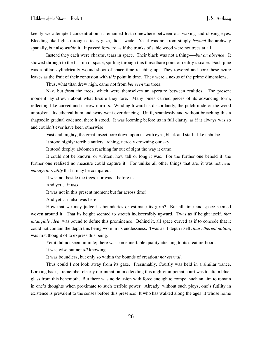keenly we attempted concentration, it remained lost somewhere between our waking and closing eyes. Bleeding like lights through a teary gaze, did it wade. Yet it was not from simply *beyond* the archway spatially, but also *within* it. It passed forward as if the trunks of sable wood were not trees at all.

Instead they each were chasms, tears in space. Their black was not a thing*–––but an absence*. It showed through to the far rim of space, spilling through this threadbare point of reality's scape. Each pine was a pillar: cylindrically wound shoot of space-time reaching up. They towered and bore these azure leaves as the fruit of their contusion with *this* point in time. They were a nexus of the prime dimensions.

Thus, what titan drew nigh, came not from *between* the trees.

Nay, but *from* the trees, which were themselves an aperture between realities. The present moment lay strewn about what fissure they tore. Many pines carried pieces of its advancing form, reflecting like curved and narrow mirrors. Winding toward us discordantly, the pulchritude of the wood unbroken. Its ethereal hum and sway went ever dancing. Until, seamlessly and without breaching this a rhapsodic gradual cadence, there it stood. It was looming before us in full clarity, as if it always was so and couldn't ever have been otherwise.

Vast and mighty, the great insect bore down upon us with eyes, black and starlit like nebulae.

It stood highly: terrible antlers arching, fiercely crowning our sky.

It stood deeply: abdomen reaching far out of sight the way it came.

It could not be known, or written, how tall or long it was. For the further one beheld it, the further one realized no measure could capture it. For unlike all other things that are, it was not *near enough to reality* that it may be compared.

It was not beside the trees, nor was it before us.

And yet… it *was*.

It was not in this present moment but far across time!

And yet… it also was here.

How that we may judge its boundaries or estimate its girth? But all time and space seemed woven around it. That its height seemed to stretch indiscernibly upward. Twas as if height itself, *that intangible idea,* was bound to define this prominence. Behind it, all space curved as if to concede that it could not contain the depth this being wore in its endlessness. Twas as if depth itself, *that ethereal notion*, was first thought of to express this being.

Yet it did not seem infinite; there was some ineffable quality attesting to its creature-hood.

It was wise but not *all* knowing.

It was boundless, but only so within the bounds of creation*: not eternal.*

Thus could I not look away from its gaze. Presumably, Courtly was held in a similar trance. Looking back, I remember clearly our intention in attending this nigh-omnipotent court was to attain blueglass from this behemoth. But there was no delusion with force enough to compel such an aim to remain in one's thoughts when proximate to such terrible power. Already, without such ploys, one's futility in existence is prevalent to the senses before this presence: It who has walked along the ages, it whose home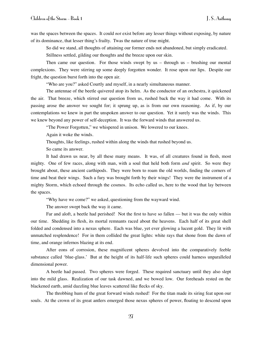was the spaces between the spaces. It could *not* exist before any lesser things without exposing, by nature of its dominance, that lesser thing's frailty. Twas the nature of true might.

So did we stand, all thoughts of attaining our former ends not abandoned, but simply eradicated.

Stillness settled, gilding our thoughts and the breeze upon our skin.

Then came our question. For those winds swept by  $us -$  through  $us -$  brushing our mental complexions. They were stirring up some deeply forgotten wonder. It rose upon our lips. Despite our fright, the question burst forth into the open air.

"Who are you?" asked Courtly and myself, in a nearly simultaneous manner.

The antennae of the beetle quivered atop its helm. As the conductor of an orchestra, it quickened the air. That breeze, which stirred our question from us, rushed back the way it had come. With its passing arose the answer we sought for; it sprung up, as is from our own reasoning. As if, by our contemplations we knew in part the unspoken answer to our question. Yet it surely was the winds. This we knew beyond any power of self-deception. It was the forward winds that answered us.

"The Power Forgotten," we whispered in unison. We lowered to our knees.

Again it woke the winds.

Thoughts, like feelings, rushed within along the winds that rushed beyond us.

So came its answer.

It had drawn us near, by all these many means. It was, of all creatures found in flesh, most mighty. One of few races, along with man, with a soul that held both form *and* spirit. So were they brought about, these ancient carthipods. They were born to roam the old worlds, finding the corners of time and beat their wings. Such a fury was brought forth by their wings! They were the instrument of a mighty Storm, which echoed through the cosmos. Its echo called us, here to the wood that lay between the spaces.

"Why have we come?" we asked, questioning from the wayward wind.

The answer swept back the way it came.

Far and aloft, a beetle had perished! Not the first to have so fallen — but it was the only within our time. Shedding its flesh, its mortal remnants raced about the heavens. Each half of its great shell folded and condensed into a nexus sphere. Each was blue, yet ever glowing a lucent gold. They lit with unmatched resplendence! For in them collided the great lights: white rays that shone from the dawn of time, and orange infernos blazing at its end.

After eons of corrosion, these magnificent spheres devolved into the comparatively feeble substance called 'blue-glass.' But at the height of its half-life such spheres could harness unparalleled dimensional power.

A beetle had passed. Two spheres were forged. These required sanctuary until they also slept into the mild glass. Realization of our task dawned, and we bowed low. Our foreheads rested on the blackened earth, amid dazzling blue leaves scattered like flecks of sky.

The throbbing hum of the great forward winds rushed! For the titan made its siring feat upon our souls. At the crown of its great antlers emerged those nexus spheres of power, floating to descend upon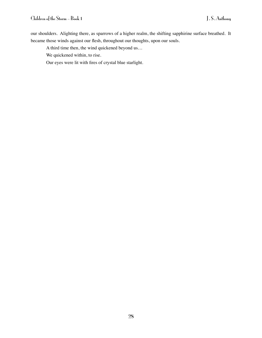our shoulders. Alighting there, as sparrows of a higher realm, the shifting sapphirine surface breathed. It became those winds against our flesh, throughout our thoughts, upon our souls.

A third time then, the wind quickened beyond us…

We quickened within, to rise.

Our eyes were lit with fires of crystal blue starlight.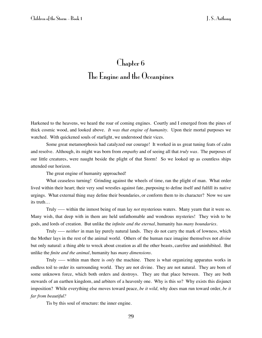### Chapter 6 The Engine and the Oceanpines

Harkened to the heavens, we heard the roar of coming engines. Courtly and I emerged from the pines of thick cosmic wood, and looked above. *It was that engine of humanity.* Upon their mortal purposes we watched. With quickened souls of starlight, we understood their vices.

Some great metamorphosis had catalyzed our courage! It worked in us great tuning feats of calm and resolve. Although, its might was born from *empathy* and of seeing all that *truly was*. The purposes of our little creatures, were naught beside the plight of that Storm! So we looked up as countless ships attended our horizon.

The great engine of humanity approached!

What ceaseless turning! Grinding against the wheels of time, ran the plight of man. What order lived within their heart; their very soul wrestles against fate, purposing to define itself and fulfill its native urgings. What external thing may define their boundaries, or conform them to its character? Now we saw its truth…

Truly ––– within the inmost being of man lay *not* mysterious waters. Many yearn that it were so. Many wish, that deep with in them are held unfathomable and wondrous mysteries! They wish to be gods, and lords of creation. But unlike the *infinite and the eternal*, humanity has *many boundaries*.

Truly ––– *neither* in man lay purely natural lands. They do not carry the mark of lowness, which the Mother lays in the rest of the animal world. Others of the human race imagine themselves not *divine* but only natural: a thing able to wreck about creation as all the other beasts, carefree and uninhibited. But unlike the *finite and the animal*, humanity has *many dimensions*.

Truly ––– within man there is *only* the machine. There is what organizing apparatus works in endless toil to order its surrounding world. They are not divine. They are not natural. They are born of some unknown force, which both orders and destroys. They are that place between. They are both stewards of an earthen kingdom, and arbiters of a heavenly one. Why is this so? Why exists this disjunct imposition? While everything else moves toward peace, *be it wild,* why does man run toward order, *be it far from beautiful?*

Tis by this soul of structure: the inner engine.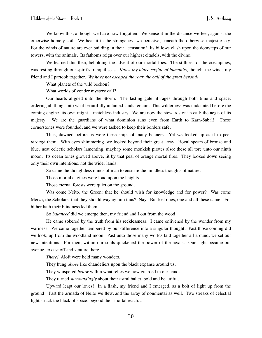We know this, although we have now forgotten. We sense it in the distance we feel, against the otherwise homely soil. We hear it in the strangeness we perceive, beneath the otherwise majestic sky. For the winds of nature are ever building in their accusation! Its billows clash upon the doorsteps of our towers, with the animals. Its fathoms reign over our highest citadels, with the divine.

We learned this then, beholding the advent of our mortal foes. The stillness of the oceanpines, was resting through our spirit's tranquil seas. *Know thy place engine of humanity,* thought the winds my friend and I partook together. *We have not escaped the roar, the call of the great beyond!*

What planets of the wild beckon?

What worlds of yonder mystery call?

Our hearts aligned unto the Storm. The lasting gale, it rages through both time and space: ordering all things into what beautifully untamed lands remain. This wilderness was undaunted before the coming engine, its own might a matchless industry. We are now the stewards of its call: the aegis of its majesty. We are the guardians of what dominion runs even from Earth to Karn-Sabal! These cornerstones were founded, and we were tasked to keep their borders safe.

Thus, dawned before us were these ships of many banners. Yet we looked up as if to peer *through* them. With eyes shimmering, we looked beyond their great array. Royal spears of bronze and blue, neat eclectic scholars lamenting, mayhap some monkish pirates also: these all tore unto our ninth moon. Its ocean tones glowed above, lit by that peal of orange mortal fires. They looked down seeing only their own intentions, not the wider lands.

So came the thoughtless minds of man to ensnare the mindless thoughts of nature.

Those mortal engines were loud upon the heights.

Those eternal forests were quiet on the ground.

Was come Neito, the Green: that he should wish for knowledge and for power? Was come Merza, the Scholars: that they should waylay him thus? Nay. But lost ones, one and all these came! For hither hath their blindness led them.

So *balanced* did we emerge then, my friend and I out from the wood.

He came sobered by the truth from his recklessness. I came enlivened by the wonder from my wariness. We came together tempered by our difference into a singular thought. Past those coming did we look, up from the woodland moon. Past unto those many worlds laid together all around, we set our new intentions. For then, within our souls quickened the power of the nexus. Our sight became our avenue, to cast off and venture there.

*There!* Aloft were held many wonders.

They hung *above* like chandeliers upon the black expanse around us.

They whispered *below* within what relics we now guarded in our hands.

They turned *surroundingly* about their astral ballet, bold and beautiful.

Upward leapt our loves! In a flash, my friend and I emerged, as a bolt of light up from the ground! Past the armada of Neito we flew, and the array of nonmentai as well. Two streaks of celestial light struck the black of space, beyond their mortal reach…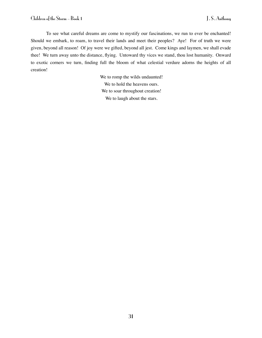To see what careful dreams are come to mystify our fascinations, we run to ever be enchanted! Should we embark, to roam, to travel their lands and meet their peoples? Aye! For of truth we were given, beyond all reason! Of joy were we gifted, beyond all jest. Come kings and laymen, we shall evade thee! We turn away unto the distance, flying. Untoward thy vices we stand, thou lost humanity. Onward to exotic corners we turn, finding full the bloom of what celestial verdure adorns the heights of all creation!

> We to romp the wilds undaunted! We to hold the heavens ours. We to soar throughout creation! We to laugh about the stars.